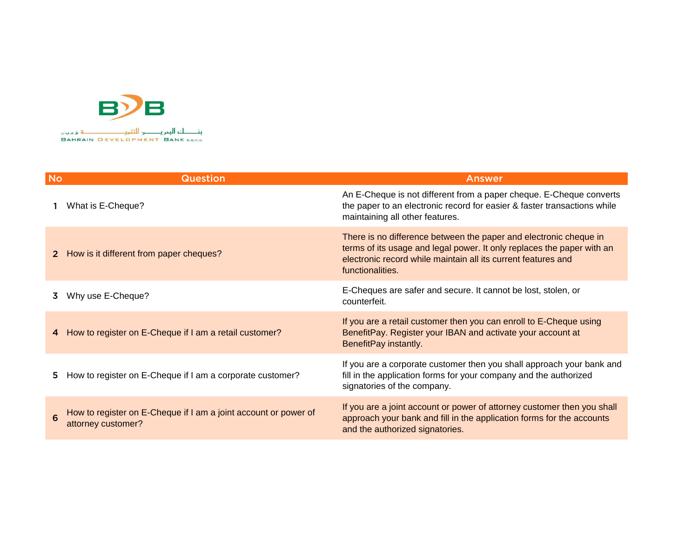

| <b>No</b> | <b>Question</b>                                                                       | <b>Answer</b>                                                                                                                                                                                                                    |
|-----------|---------------------------------------------------------------------------------------|----------------------------------------------------------------------------------------------------------------------------------------------------------------------------------------------------------------------------------|
|           | What is E-Cheque?                                                                     | An E-Cheque is not different from a paper cheque. E-Cheque converts<br>the paper to an electronic record for easier & faster transactions while<br>maintaining all other features.                                               |
|           | How is it different from paper cheques?                                               | There is no difference between the paper and electronic cheque in<br>terms of its usage and legal power. It only replaces the paper with an<br>electronic record while maintain all its current features and<br>functionalities. |
|           | Why use E-Cheque?                                                                     | E-Cheques are safer and secure. It cannot be lost, stolen, or<br>counterfeit.                                                                                                                                                    |
|           | How to register on E-Cheque if I am a retail customer?                                | If you are a retail customer then you can enroll to E-Cheque using<br>BenefitPay. Register your IBAN and activate your account at<br>BenefitPay instantly.                                                                       |
| 5.        | How to register on E-Cheque if I am a corporate customer?                             | If you are a corporate customer then you shall approach your bank and<br>fill in the application forms for your company and the authorized<br>signatories of the company.                                                        |
|           | How to register on E-Cheque if I am a joint account or power of<br>attorney customer? | If you are a joint account or power of attorney customer then you shall<br>approach your bank and fill in the application forms for the accounts<br>and the authorized signatories.                                              |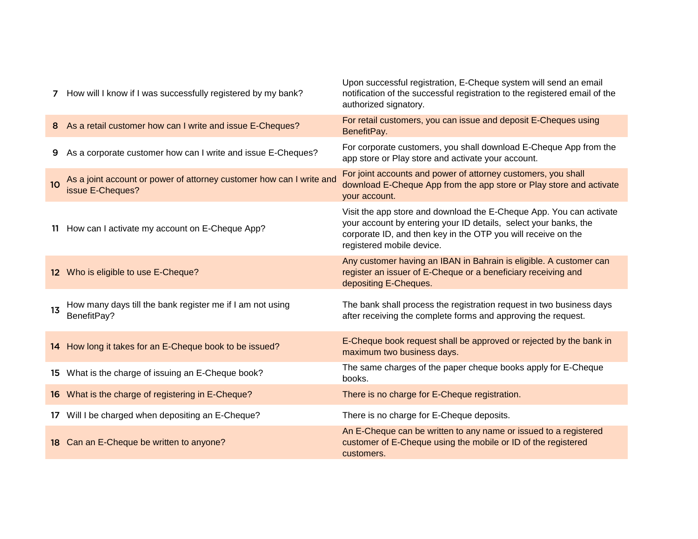| 7               | How will I know if I was successfully registered by my bank?                             | Upon successful registration, E-Cheque system will send an email<br>notification of the successful registration to the registered email of the<br>authorized signatory.                                                               |
|-----------------|------------------------------------------------------------------------------------------|---------------------------------------------------------------------------------------------------------------------------------------------------------------------------------------------------------------------------------------|
|                 | 8 As a retail customer how can I write and issue E-Cheques?                              | For retail customers, you can issue and deposit E-Cheques using<br>BenefitPay.                                                                                                                                                        |
| 9               | As a corporate customer how can I write and issue E-Cheques?                             | For corporate customers, you shall download E-Cheque App from the<br>app store or Play store and activate your account.                                                                                                               |
| 10 <sup>°</sup> | As a joint account or power of attorney customer how can I write and<br>issue E-Cheques? | For joint accounts and power of attorney customers, you shall<br>download E-Cheque App from the app store or Play store and activate<br>your account.                                                                                 |
|                 | 11 How can I activate my account on E-Cheque App?                                        | Visit the app store and download the E-Cheque App. You can activate<br>your account by entering your ID details, select your banks, the<br>corporate ID, and then key in the OTP you will receive on the<br>registered mobile device. |
|                 | 12 Who is eligible to use E-Cheque?                                                      | Any customer having an IBAN in Bahrain is eligible. A customer can<br>register an issuer of E-Cheque or a beneficiary receiving and<br>depositing E-Cheques.                                                                          |
| 1 <sub>3</sub>  | How many days till the bank register me if I am not using<br>BenefitPay?                 | The bank shall process the registration request in two business days<br>after receiving the complete forms and approving the request.                                                                                                 |
|                 | 14 How long it takes for an E-Cheque book to be issued?                                  | E-Cheque book request shall be approved or rejected by the bank in<br>maximum two business days.                                                                                                                                      |
|                 | 15 What is the charge of issuing an E-Cheque book?                                       | The same charges of the paper cheque books apply for E-Cheque<br>books.                                                                                                                                                               |
|                 | 16 What is the charge of registering in E-Cheque?                                        | There is no charge for E-Cheque registration.                                                                                                                                                                                         |
|                 | 17 Will I be charged when depositing an E-Cheque?                                        | There is no charge for E-Cheque deposits.                                                                                                                                                                                             |
|                 | 18 Can an E-Cheque be written to anyone?                                                 | An E-Cheque can be written to any name or issued to a registered<br>customer of E-Cheque using the mobile or ID of the registered<br>customers.                                                                                       |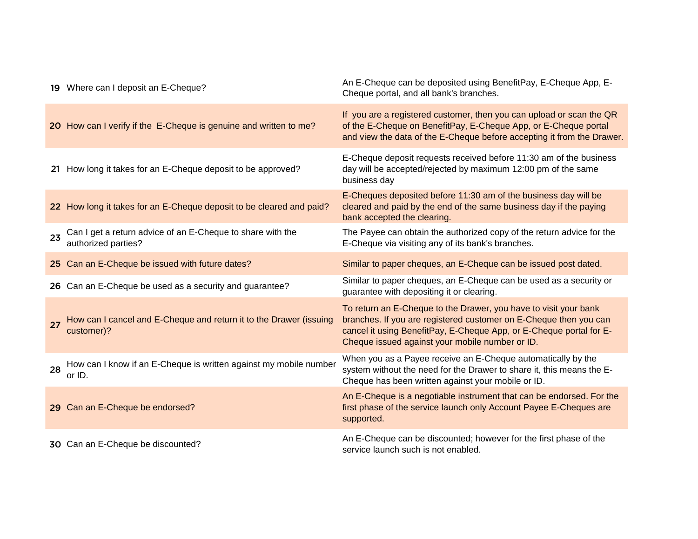|    | 19 Where can I deposit an E-Cheque?                                               | An E-Cheque can be deposited using BenefitPay, E-Cheque App, E-<br>Cheque portal, and all bank's branches.                                                                                                                                                      |
|----|-----------------------------------------------------------------------------------|-----------------------------------------------------------------------------------------------------------------------------------------------------------------------------------------------------------------------------------------------------------------|
|    | 20 How can I verify if the E-Cheque is genuine and written to me?                 | If you are a registered customer, then you can upload or scan the QR<br>of the E-Cheque on BenefitPay, E-Cheque App, or E-Cheque portal<br>and view the data of the E-Cheque before accepting it from the Drawer.                                               |
|    | 21 How long it takes for an E-Cheque deposit to be approved?                      | E-Cheque deposit requests received before 11:30 am of the business<br>day will be accepted/rejected by maximum 12:00 pm of the same<br>business day                                                                                                             |
|    | 22 How long it takes for an E-Cheque deposit to be cleared and paid?              | E-Cheques deposited before 11:30 am of the business day will be<br>cleared and paid by the end of the same business day if the paying<br>bank accepted the clearing.                                                                                            |
| 23 | Can I get a return advice of an E-Cheque to share with the<br>authorized parties? | The Payee can obtain the authorized copy of the return advice for the<br>E-Cheque via visiting any of its bank's branches.                                                                                                                                      |
|    | 25 Can an E-Cheque be issued with future dates?                                   | Similar to paper cheques, an E-Cheque can be issued post dated.                                                                                                                                                                                                 |
|    | 26 Can an E-Cheque be used as a security and guarantee?                           | Similar to paper cheques, an E-Cheque can be used as a security or<br>guarantee with depositing it or clearing.                                                                                                                                                 |
| 27 | How can I cancel and E-Cheque and return it to the Drawer (issuing<br>customer)?  | To return an E-Cheque to the Drawer, you have to visit your bank<br>branches. If you are registered customer on E-Cheque then you can<br>cancel it using BenefitPay, E-Cheque App, or E-Cheque portal for E-<br>Cheque issued against your mobile number or ID. |
| 28 | How can I know if an E-Cheque is written against my mobile number<br>or ID.       | When you as a Payee receive an E-Cheque automatically by the<br>system without the need for the Drawer to share it, this means the E-<br>Cheque has been written against your mobile or ID.                                                                     |
|    | 29 Can an E-Cheque be endorsed?                                                   | An E-Cheque is a negotiable instrument that can be endorsed. For the<br>first phase of the service launch only Account Payee E-Cheques are<br>supported.                                                                                                        |
|    | 30 Can an E-Cheque be discounted?                                                 | An E-Cheque can be discounted; however for the first phase of the<br>service launch such is not enabled.                                                                                                                                                        |